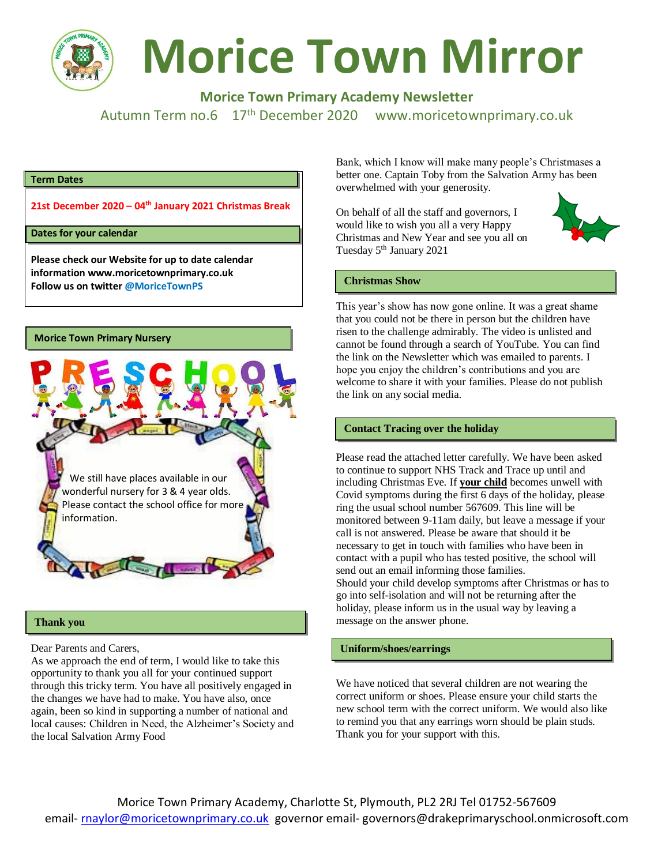

# **Morice Town Mirror**

**Morice Town Primary Academy Newsletter**

Autumn Term no.6 17<sup>th</sup> December 2020 www.moricetownprimary.co.uk

#### **Term Dates**

**21st December 2020 – 04th January 2021 Christmas Break**

#### **Dates for your calendar**

**Please check our Website for up to date calendar information www.moricetownprimary.co.uk Follow us on twitter @MoriceTownPS**



#### **Thank you**

Dear Parents and Carers,

As we approach the end of term, I would like to take this opportunity to thank you all for your continued support through this tricky term. You have all positively engaged in the changes we have had to make. You have also, once again, been so kind in supporting a number of national and local causes: Children in Need, the Alzheimer's Society and the local Salvation Army Food

Bank, which I know will make many people's Christmases a better one. Captain Toby from the Salvation Army has been overwhelmed with your generosity.

On behalf of all the staff and governors, I would like to wish you all a very Happy Christmas and New Year and see you all on Tuesday 5<sup>th</sup> January 2021



#### **Christmas Show**

This year's show has now gone online. It was a great shame that you could not be there in person but the children have risen to the challenge admirably. The video is unlisted and cannot be found through a search of YouTube. You can find the link on the Newsletter which was emailed to parents. I hope you enjoy the children's contributions and you are welcome to share it with your families. Please do not publish the link on any social media.

#### **Contact Tracing over the holiday**

Please read the attached letter carefully. We have been asked to continue to support NHS Track and Trace up until and including Christmas Eve. If **your child** becomes unwell with Covid symptoms during the first 6 days of the holiday, please ring the usual school number 567609. This line will be monitored between 9-11am daily, but leave a message if your call is not answered. Please be aware that should it be necessary to get in touch with families who have been in contact with a pupil who has tested positive, the school will send out an email informing those families. Should your child develop symptoms after Christmas or has to go into self-isolation and will not be returning after the holiday, please inform us in the usual way by leaving a message on the answer phone.

#### **Uniform/shoes/earrings**

We have noticed that several children are not wearing the correct uniform or shoes. Please ensure your child starts the new school term with the correct uniform. We would also like to remind you that any earrings worn should be plain studs. Thank you for your support with this.